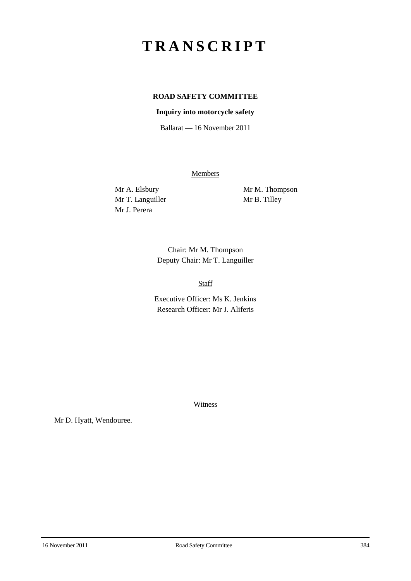## **TRANSCRIPT**

## **ROAD SAFETY COMMITTEE**

## **Inquiry into motorcycle safety**

Ballarat — 16 November 2011

**Members** 

Mr T. Languiller Mr B. Tilley Mr J. Perera

Mr A. Elsbury Mr M. Thompson

Chair: Mr M. Thompson Deputy Chair: Mr T. Languiller

Staff

Executive Officer: Ms K. Jenkins Research Officer: Mr J. Aliferis

Witness

Mr D. Hyatt, Wendouree.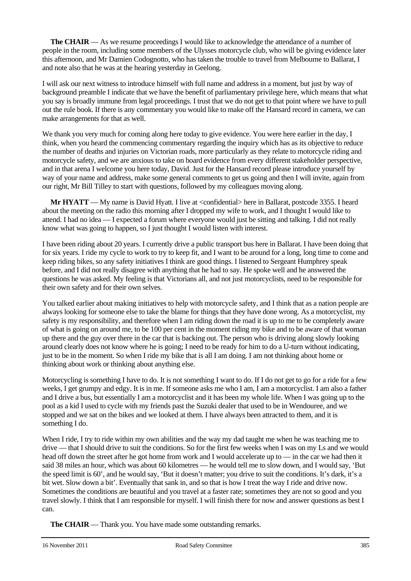**The CHAIR** — As we resume proceedings I would like to acknowledge the attendance of a number of people in the room, including some members of the Ulysses motorcycle club, who will be giving evidence later this afternoon, and Mr Damien Codognotto, who has taken the trouble to travel from Melbourne to Ballarat, I and note also that he was at the hearing yesterday in Geelong.

I will ask our next witness to introduce himself with full name and address in a moment, but just by way of background preamble I indicate that we have the benefit of parliamentary privilege here, which means that what you say is broadly immune from legal proceedings. I trust that we do not get to that point where we have to pull out the rule book. If there is any commentary you would like to make off the Hansard record in camera, we can make arrangements for that as well.

We thank you very much for coming along here today to give evidence. You were here earlier in the day, I think, when you heard the commencing commentary regarding the inquiry which has as its objective to reduce the number of deaths and injuries on Victorian roads, more particularly as they relate to motorcycle riding and motorcycle safety, and we are anxious to take on board evidence from every different stakeholder perspective, and in that arena I welcome you here today, David. Just for the Hansard record please introduce yourself by way of your name and address, make some general comments to get us going and then I will invite, again from our right, Mr Bill Tilley to start with questions, followed by my colleagues moving along.

**Mr <b>HYATT** — My name is David Hyatt. I live at <confidential> here in Ballarat, postcode 3355. I heard about the meeting on the radio this morning after I dropped my wife to work, and I thought I would like to attend. I had no idea — I expected a forum where everyone would just be sitting and talking. I did not really know what was going to happen, so I just thought I would listen with interest.

I have been riding about 20 years. I currently drive a public transport bus here in Ballarat. I have been doing that for six years. I ride my cycle to work to try to keep fit, and I want to be around for a long, long time to come and keep riding bikes, so any safety initiatives I think are good things. I listened to Sergeant Humphrey speak before, and I did not really disagree with anything that he had to say. He spoke well and he answered the questions he was asked. My feeling is that Victorians all, and not just motorcyclists, need to be responsible for their own safety and for their own selves.

You talked earlier about making initiatives to help with motorcycle safety, and I think that as a nation people are always looking for someone else to take the blame for things that they have done wrong. As a motorcyclist, my safety is my responsibility, and therefore when I am riding down the road it is up to me to be completely aware of what is going on around me, to be 100 per cent in the moment riding my bike and to be aware of that woman up there and the guy over there in the car that is backing out. The person who is driving along slowly looking around clearly does not know where he is going; I need to be ready for him to do a U-turn without indicating, just to be in the moment. So when I ride my bike that is all I am doing. I am not thinking about home or thinking about work or thinking about anything else.

Motorcycling is something I have to do. It is not something I want to do. If I do not get to go for a ride for a few weeks, I get grumpy and edgy. It is in me. If someone asks me who I am, I am a motorcyclist. I am also a father and I drive a bus, but essentially I am a motorcyclist and it has been my whole life. When I was going up to the pool as a kid I used to cycle with my friends past the Suzuki dealer that used to be in Wendouree, and we stopped and we sat on the bikes and we looked at them. I have always been attracted to them, and it is something I do.

When I ride, I try to ride within my own abilities and the way my dad taught me when he was teaching me to drive — that I should drive to suit the conditions. So for the first few weeks when I was on my Ls and we would head off down the street after he got home from work and I would accelerate up to — in the car we had then it said 38 miles an hour, which was about 60 kilometres — he would tell me to slow down, and I would say, 'But the speed limit is 60', and he would say, 'But it doesn't matter; you drive to suit the conditions. It's dark, it's a bit wet. Slow down a bit'. Eventually that sank in, and so that is how I treat the way I ride and drive now. Sometimes the conditions are beautiful and you travel at a faster rate; sometimes they are not so good and you travel slowly. I think that I am responsible for myself. I will finish there for now and answer questions as best I can.

**The CHAIR** — Thank you. You have made some outstanding remarks.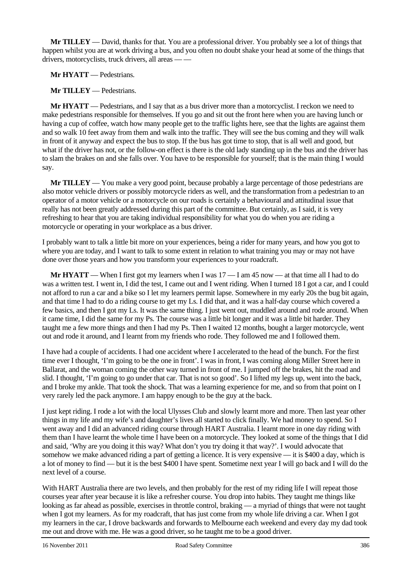**Mr TILLEY** — David, thanks for that. You are a professional driver. You probably see a lot of things that happen whilst you are at work driving a bus, and you often no doubt shake your head at some of the things that drivers, motorcyclists, truck drivers, all areas — —

**Mr HYATT** — Pedestrians.

**Mr TILLEY** — Pedestrians.

**Mr HYATT** — Pedestrians, and I say that as a bus driver more than a motorcyclist. I reckon we need to make pedestrians responsible for themselves. If you go and sit out the front here when you are having lunch or having a cup of coffee, watch how many people get to the traffic lights here, see that the lights are against them and so walk 10 feet away from them and walk into the traffic. They will see the bus coming and they will walk in front of it anyway and expect the bus to stop. If the bus has got time to stop, that is all well and good, but what if the driver has not, or the follow-on effect is there is the old lady standing up in the bus and the driver has to slam the brakes on and she falls over. You have to be responsible for yourself; that is the main thing I would say.

**Mr TILLEY** — You make a very good point, because probably a large percentage of those pedestrians are also motor vehicle drivers or possibly motorcycle riders as well, and the transformation from a pedestrian to an operator of a motor vehicle or a motorcycle on our roads is certainly a behavioural and attitudinal issue that really has not been greatly addressed during this part of the committee. But certainly, as I said, it is very refreshing to hear that you are taking individual responsibility for what you do when you are riding a motorcycle or operating in your workplace as a bus driver.

I probably want to talk a little bit more on your experiences, being a rider for many years, and how you got to where you are today, and I want to talk to some extent in relation to what training you may or may not have done over those years and how you transform your experiences to your roadcraft.

**Mr HYATT** — When I first got my learners when I was 17 — I am 45 now — at that time all I had to do was a written test. I went in, I did the test, I came out and I went riding. When I turned 18 I got a car, and I could not afford to run a car and a bike so I let my learners permit lapse. Somewhere in my early 20s the bug bit again, and that time I had to do a riding course to get my Ls. I did that, and it was a half-day course which covered a few basics, and then I got my Ls. It was the same thing. I just went out, muddled around and rode around. When it came time, I did the same for my Ps. The course was a little bit longer and it was a little bit harder. They taught me a few more things and then I had my Ps. Then I waited 12 months, bought a larger motorcycle, went out and rode it around, and I learnt from my friends who rode. They followed me and I followed them.

I have had a couple of accidents. I had one accident where I accelerated to the head of the bunch. For the first time ever I thought, 'I'm going to be the one in front'. I was in front, I was coming along Miller Street here in Ballarat, and the woman coming the other way turned in front of me. I jumped off the brakes, hit the road and slid. I thought, 'I'm going to go under that car. That is not so good'. So I lifted my legs up, went into the back, and I broke my ankle. That took the shock. That was a learning experience for me, and so from that point on I very rarely led the pack anymore. I am happy enough to be the guy at the back.

I just kept riding. I rode a lot with the local Ulysses Club and slowly learnt more and more. Then last year other things in my life and my wife's and daughter's lives all started to click finally. We had money to spend. So I went away and I did an advanced riding course through HART Australia. I learnt more in one day riding with them than I have learnt the whole time I have been on a motorcycle. They looked at some of the things that I did and said, 'Why are you doing it this way? What don't you try doing it that way?'. I would advocate that somehow we make advanced riding a part of getting a licence. It is very expensive — it is \$400 a day, which is a lot of money to find — but it is the best \$400 I have spent. Sometime next year I will go back and I will do the next level of a course.

With HART Australia there are two levels, and then probably for the rest of my riding life I will repeat those courses year after year because it is like a refresher course. You drop into habits. They taught me things like looking as far ahead as possible, exercises in throttle control, braking — a myriad of things that were not taught when I got my learners. As for my roadcraft, that has just come from my whole life driving a car. When I got my learners in the car, I drove backwards and forwards to Melbourne each weekend and every day my dad took me out and drove with me. He was a good driver, so he taught me to be a good driver.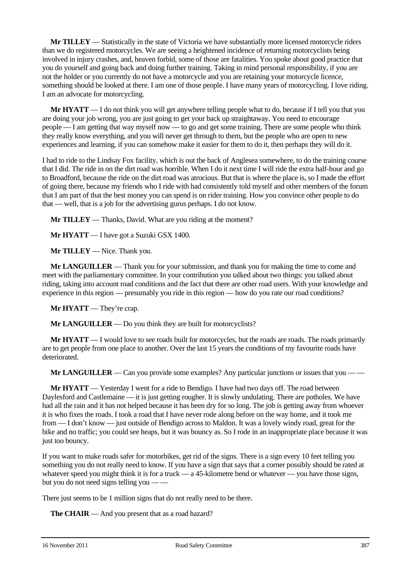**Mr TILLEY** — Statistically in the state of Victoria we have substantially more licensed motorcycle riders than we do registered motorcycles. We are seeing a heightened incidence of returning motorcyclists being involved in injury crashes, and, heaven forbid, some of those are fatalities. You spoke about good practice that you do yourself and going back and doing further training. Taking in mind personal responsibility, if you are not the holder or you currently do not have a motorcycle and you are retaining your motorcycle licence, something should be looked at there. I am one of those people. I have many years of motorcycling. I love riding. I am an advocate for motorcycling.

**Mr HYATT** — I do not think you will get anywhere telling people what to do, because if I tell you that you are doing your job wrong, you are just going to get your back up straightaway. You need to encourage people — I am getting that way myself now — to go and get some training. There are some people who think they really know everything, and you will never get through to them, but the people who are open to new experiences and learning, if you can somehow make it easier for them to do it, then perhaps they will do it.

I had to ride to the Lindsay Fox facility, which is out the back of Anglesea somewhere, to do the training course that I did. The ride in on the dirt road was horrible. When I do it next time I will ride the extra half-hour and go to Broadford, because the ride on the dirt road was atrocious. But that is where the place is, so I made the effort of going there, because my friends who I ride with had consistently told myself and other members of the forum that I am part of that the best money you can spend is on rider training. How you convince other people to do that — well, that is a job for the advertising gurus perhaps. I do not know.

**Mr TILLEY** — Thanks, David. What are you riding at the moment?

**Mr HYATT** — I have got a Suzuki GSX 1400.

**Mr TILLEY** — Nice. Thank you.

**Mr LANGUILLER** — Thank you for your submission, and thank you for making the time to come and meet with the parliamentary committee. In your contribution you talked about two things: you talked about riding, taking into account road conditions and the fact that there are other road users. With your knowledge and experience in this region — presumably you ride in this region — how do you rate our road conditions?

**Mr HYATT** — They're crap.

**Mr LANGUILLER** — Do you think they are built for motorcyclists?

**Mr HYATT** — I would love to see roads built for motorcycles, but the roads are roads. The roads primarily are to get people from one place to another. Over the last 15 years the conditions of my favourite roads have deteriorated.

**Mr LANGUILLER** — Can you provide some examples? Any particular junctions or issues that you — —

**Mr HYATT** — Yesterday I went for a ride to Bendigo. I have had two days off. The road between Daylesford and Castlemaine — it is just getting rougher. It is slowly undulating. There are potholes. We have had all the rain and it has not helped because it has been dry for so long. The job is getting away from whoever it is who fixes the roads. I took a road that I have never rode along before on the way home, and it took me from — I don't know — just outside of Bendigo across to Maldon. It was a lovely windy road, great for the bike and no traffic; you could see heaps, but it was bouncy as. So I rode in an inappropriate place because it was just too bouncy.

If you want to make roads safer for motorbikes, get rid of the signs. There is a sign every 10 feet telling you something you do not really need to know. If you have a sign that says that a corner possibly should be rated at whatever speed you might think it is for a truck — a 45-kilometre bend or whatever — you have those signs, but you do not need signs telling you — —

There just seems to be 1 million signs that do not really need to be there.

**The CHAIR** — And you present that as a road hazard?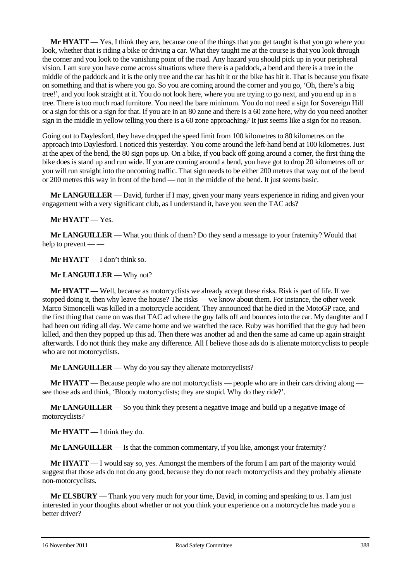**Mr HYATT** — Yes, I think they are, because one of the things that you get taught is that you go where you look, whether that is riding a bike or driving a car. What they taught me at the course is that you look through the corner and you look to the vanishing point of the road. Any hazard you should pick up in your peripheral vision. I am sure you have come across situations where there is a paddock, a bend and there is a tree in the middle of the paddock and it is the only tree and the car has hit it or the bike has hit it. That is because you fixate on something and that is where you go. So you are coming around the corner and you go, 'Oh, there's a big tree!', and you look straight at it. You do not look here, where you are trying to go next, and you end up in a tree. There is too much road furniture. You need the bare minimum. You do not need a sign for Sovereign Hill or a sign for this or a sign for that. If you are in an 80 zone and there is a 60 zone here, why do you need another sign in the middle in yellow telling you there is a 60 zone approaching? It just seems like a sign for no reason.

Going out to Daylesford, they have dropped the speed limit from 100 kilometres to 80 kilometres on the approach into Daylesford. I noticed this yesterday. You come around the left-hand bend at 100 kilometres. Just at the apex of the bend, the 80 sign pops up. On a bike, if you back off going around a corner, the first thing the bike does is stand up and run wide. If you are coming around a bend, you have got to drop 20 kilometres off or you will run straight into the oncoming traffic. That sign needs to be either 200 metres that way out of the bend or 200 metres this way in front of the bend — not in the middle of the bend. It just seems basic.

**Mr LANGUILLER** — David, further if I may, given your many years experience in riding and given your engagement with a very significant club, as I understand it, have you seen the TAC ads?

**Mr HYATT** — Yes.

**Mr LANGUILLER** — What you think of them? Do they send a message to your fraternity? Would that help to prevent — —

**Mr HYATT** — I don't think so.

**Mr LANGUILLER** — Why not?

**Mr HYATT** — Well, because as motorcyclists we already accept these risks. Risk is part of life. If we stopped doing it, then why leave the house? The risks — we know about them. For instance, the other week Marco Simoncelli was killed in a motorcycle accident. They announced that he died in the MotoGP race, and the first thing that came on was that TAC ad where the guy falls off and bounces into the car. My daughter and I had been out riding all day. We came home and we watched the race. Ruby was horrified that the guy had been killed, and then they popped up this ad. Then there was another ad and then the same ad came up again straight afterwards. I do not think they make any difference. All I believe those ads do is alienate motorcyclists to people who are not motorcyclists.

**Mr LANGUILLER** — Why do you say they alienate motorcyclists?

**Mr HYATT** — Because people who are not motorcyclists — people who are in their cars driving along see those ads and think, 'Bloody motorcyclists; they are stupid. Why do they ride?'.

**Mr LANGUILLER** — So you think they present a negative image and build up a negative image of motorcyclists?

**Mr HYATT** — I think they do.

**Mr LANGUILLER** — Is that the common commentary, if you like, amongst your fraternity?

**Mr HYATT** — I would say so, yes. Amongst the members of the forum I am part of the majority would suggest that those ads do not do any good, because they do not reach motorcyclists and they probably alienate non-motorcyclists.

**Mr ELSBURY** — Thank you very much for your time, David, in coming and speaking to us. I am just interested in your thoughts about whether or not you think your experience on a motorcycle has made you a better driver?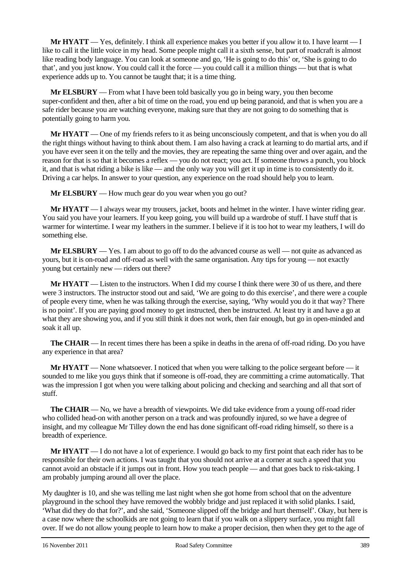**Mr HYATT** — Yes, definitely. I think all experience makes you better if you allow it to. I have learnt — I like to call it the little voice in my head. Some people might call it a sixth sense, but part of roadcraft is almost like reading body language. You can look at someone and go, 'He is going to do this' or, 'She is going to do that', and you just know. You could call it the force — you could call it a million things — but that is what experience adds up to. You cannot be taught that; it is a time thing.

**Mr ELSBURY** — From what I have been told basically you go in being wary, you then become super-confident and then, after a bit of time on the road, you end up being paranoid, and that is when you are a safe rider because you are watching everyone, making sure that they are not going to do something that is potentially going to harm you.

**Mr HYATT** — One of my friends refers to it as being unconsciously competent, and that is when you do all the right things without having to think about them. I am also having a crack at learning to do martial arts, and if you have ever seen it on the telly and the movies, they are repeating the same thing over and over again, and the reason for that is so that it becomes a reflex — you do not react; you act. If someone throws a punch, you block it, and that is what riding a bike is like — and the only way you will get it up in time is to consistently do it. Driving a car helps. In answer to your question, any experience on the road should help you to learn.

**Mr ELSBURY** — How much gear do you wear when you go out?

**Mr HYATT** — I always wear my trousers, jacket, boots and helmet in the winter. I have winter riding gear. You said you have your learners. If you keep going, you will build up a wardrobe of stuff. I have stuff that is warmer for wintertime. I wear my leathers in the summer. I believe if it is too hot to wear my leathers, I will do something else.

**Mr ELSBURY** — Yes. I am about to go off to do the advanced course as well — not quite as advanced as yours, but it is on-road and off-road as well with the same organisation. Any tips for young — not exactly young but certainly new — riders out there?

**Mr HYATT** — Listen to the instructors. When I did my course I think there were 30 of us there, and there were 3 instructors. The instructor stood out and said, 'We are going to do this exercise', and there were a couple of people every time, when he was talking through the exercise, saying, 'Why would you do it that way? There is no point'. If you are paying good money to get instructed, then be instructed. At least try it and have a go at what they are showing you, and if you still think it does not work, then fair enough, but go in open-minded and soak it all up.

**The CHAIR** — In recent times there has been a spike in deaths in the arena of off-road riding. Do you have any experience in that area?

**Mr HYATT** — None whatsoever. I noticed that when you were talking to the police sergeant before — it sounded to me like you guys think that if someone is off-road, they are committing a crime automatically. That was the impression I got when you were talking about policing and checking and searching and all that sort of stuff.

**The CHAIR** — No, we have a breadth of viewpoints. We did take evidence from a young off-road rider who collided head-on with another person on a track and was profoundly injured, so we have a degree of insight, and my colleague Mr Tilley down the end has done significant off-road riding himself, so there is a breadth of experience.

**Mr HYATT** — I do not have a lot of experience. I would go back to my first point that each rider has to be responsible for their own actions. I was taught that you should not arrive at a corner at such a speed that you cannot avoid an obstacle if it jumps out in front. How you teach people — and that goes back to risk-taking. I am probably jumping around all over the place.

My daughter is 10, and she was telling me last night when she got home from school that on the adventure playground in the school they have removed the wobbly bridge and just replaced it with solid planks. I said, 'What did they do that for?', and she said, 'Someone slipped off the bridge and hurt themself'. Okay, but here is a case now where the schoolkids are not going to learn that if you walk on a slippery surface, you might fall over. If we do not allow young people to learn how to make a proper decision, then when they get to the age of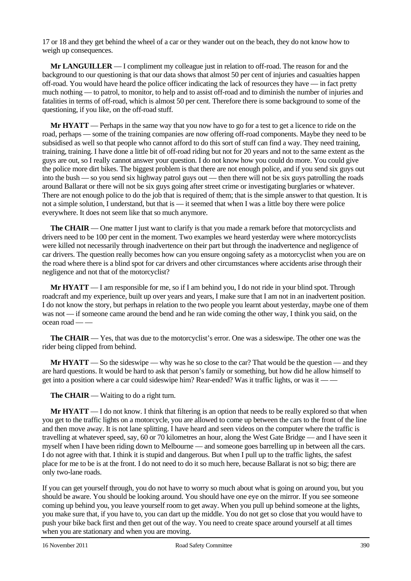17 or 18 and they get behind the wheel of a car or they wander out on the beach, they do not know how to weigh up consequences.

**Mr LANGUILLER** — I compliment my colleague just in relation to off-road. The reason for and the background to our questioning is that our data shows that almost 50 per cent of injuries and casualties happen off-road. You would have heard the police officer indicating the lack of resources they have — in fact pretty much nothing — to patrol, to monitor, to help and to assist off-road and to diminish the number of injuries and fatalities in terms of off-road, which is almost 50 per cent. Therefore there is some background to some of the questioning, if you like, on the off-road stuff.

**Mr HYATT** — Perhaps in the same way that you now have to go for a test to get a licence to ride on the road, perhaps — some of the training companies are now offering off-road components. Maybe they need to be subsidised as well so that people who cannot afford to do this sort of stuff can find a way. They need training, training, training. I have done a little bit of off-road riding but not for 20 years and not to the same extent as the guys are out, so I really cannot answer your question. I do not know how you could do more. You could give the police more dirt bikes. The biggest problem is that there are not enough police, and if you send six guys out into the bush — so you send six highway patrol guys out — then there will not be six guys patrolling the roads around Ballarat or there will not be six guys going after street crime or investigating burglaries or whatever. There are not enough police to do the job that is required of them; that is the simple answer to that question. It is not a simple solution, I understand, but that is — it seemed that when I was a little boy there were police everywhere. It does not seem like that so much anymore.

**The CHAIR** — One matter I just want to clarify is that you made a remark before that motorcyclists and drivers need to be 100 per cent in the moment. Two examples we heard yesterday were where motorcyclists were killed not necessarily through inadvertence on their part but through the inadvertence and negligence of car drivers. The question really becomes how can you ensure ongoing safety as a motorcyclist when you are on the road where there is a blind spot for car drivers and other circumstances where accidents arise through their negligence and not that of the motorcyclist?

**Mr HYATT** — I am responsible for me, so if I am behind you, I do not ride in your blind spot. Through roadcraft and my experience, built up over years and years, I make sure that I am not in an inadvertent position. I do not know the story, but perhaps in relation to the two people you learnt about yesterday, maybe one of them was not — if someone came around the bend and he ran wide coming the other way, I think you said, on the  $\alpha$ cean road — —

**The CHAIR** — Yes, that was due to the motorcyclist's error. One was a sideswipe. The other one was the rider being clipped from behind.

**Mr HYATT** — So the sideswipe — why was he so close to the car? That would be the question — and they are hard questions. It would be hard to ask that person's family or something, but how did he allow himself to get into a position where a car could sideswipe him? Rear-ended? Was it traffic lights, or was it — —

**The CHAIR** — Waiting to do a right turn.

**Mr HYATT** — I do not know. I think that filtering is an option that needs to be really explored so that when you get to the traffic lights on a motorcycle, you are allowed to come up between the cars to the front of the line and then move away. It is not lane splitting. I have heard and seen videos on the computer where the traffic is travelling at whatever speed, say, 60 or 70 kilometres an hour, along the West Gate Bridge — and I have seen it myself when I have been riding down to Melbourne — and someone goes barrelling up in between all the cars. I do not agree with that. I think it is stupid and dangerous. But when I pull up to the traffic lights, the safest place for me to be is at the front. I do not need to do it so much here, because Ballarat is not so big; there are only two-lane roads.

If you can get yourself through, you do not have to worry so much about what is going on around you, but you should be aware. You should be looking around. You should have one eye on the mirror. If you see someone coming up behind you, you leave yourself room to get away. When you pull up behind someone at the lights, you make sure that, if you have to, you can dart up the middle. You do not get so close that you would have to push your bike back first and then get out of the way. You need to create space around yourself at all times when you are stationary and when you are moving.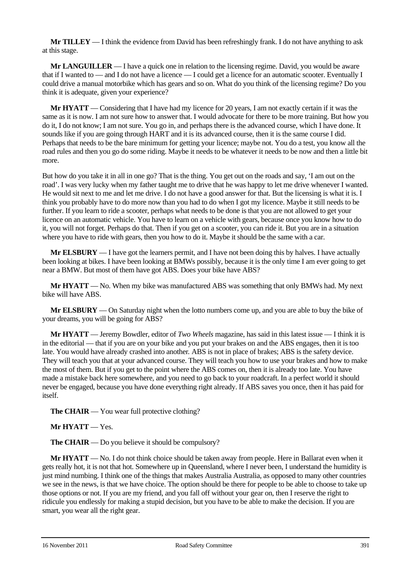**Mr TILLEY** — I think the evidence from David has been refreshingly frank. I do not have anything to ask at this stage.

**Mr LANGUILLER** — I have a quick one in relation to the licensing regime. David, you would be aware that if I wanted to — and I do not have a licence — I could get a licence for an automatic scooter. Eventually I could drive a manual motorbike which has gears and so on. What do you think of the licensing regime? Do you think it is adequate, given your experience?

**Mr HYATT** — Considering that I have had my licence for 20 years, I am not exactly certain if it was the same as it is now. I am not sure how to answer that. I would advocate for there to be more training. But how you do it, I do not know; I am not sure. You go in, and perhaps there is the advanced course, which I have done. It sounds like if you are going through HART and it is its advanced course, then it is the same course I did. Perhaps that needs to be the bare minimum for getting your licence; maybe not. You do a test, you know all the road rules and then you go do some riding. Maybe it needs to be whatever it needs to be now and then a little bit more.

But how do you take it in all in one go? That is the thing. You get out on the roads and say, 'I am out on the road'. I was very lucky when my father taught me to drive that he was happy to let me drive whenever I wanted. He would sit next to me and let me drive. I do not have a good answer for that. But the licensing is what it is. I think you probably have to do more now than you had to do when I got my licence. Maybe it still needs to be further. If you learn to ride a scooter, perhaps what needs to be done is that you are not allowed to get your licence on an automatic vehicle. You have to learn on a vehicle with gears, because once you know how to do it, you will not forget. Perhaps do that. Then if you get on a scooter, you can ride it. But you are in a situation where you have to ride with gears, then you how to do it. Maybe it should be the same with a car.

**Mr ELSBURY** — I have got the learners permit, and I have not been doing this by halves. I have actually been looking at bikes. I have been looking at BMWs possibly, because it is the only time I am ever going to get near a BMW. But most of them have got ABS. Does your bike have ABS?

**Mr HYATT** — No. When my bike was manufactured ABS was something that only BMWs had. My next bike will have ABS.

**Mr ELSBURY** — On Saturday night when the lotto numbers come up, and you are able to buy the bike of your dreams, you will be going for ABS?

**Mr HYATT** — Jeremy Bowdler, editor of *Two Wheels* magazine, has said in this latest issue — I think it is in the editorial — that if you are on your bike and you put your brakes on and the ABS engages, then it is too late. You would have already crashed into another*.* ABS is not in place of brakes; ABS is the safety device. They will teach you that at your advanced course. They will teach you how to use your brakes and how to make the most of them. But if you get to the point where the ABS comes on, then it is already too late. You have made a mistake back here somewhere, and you need to go back to your roadcraft. In a perfect world it should never be engaged, because you have done everything right already. If ABS saves you once, then it has paid for itself.

**The CHAIR** — You wear full protective clothing?

**Mr HYATT** — Yes.

**The CHAIR** — Do you believe it should be compulsory?

**Mr HYATT** — No. I do not think choice should be taken away from people. Here in Ballarat even when it gets really hot, it is not that hot. Somewhere up in Queensland, where I never been, I understand the humidity is just mind numbing. I think one of the things that makes Australia Australia, as opposed to many other countries we see in the news, is that we have choice. The option should be there for people to be able to choose to take up those options or not. If you are my friend, and you fall off without your gear on, then I reserve the right to ridicule you endlessly for making a stupid decision, but you have to be able to make the decision. If you are smart, you wear all the right gear.